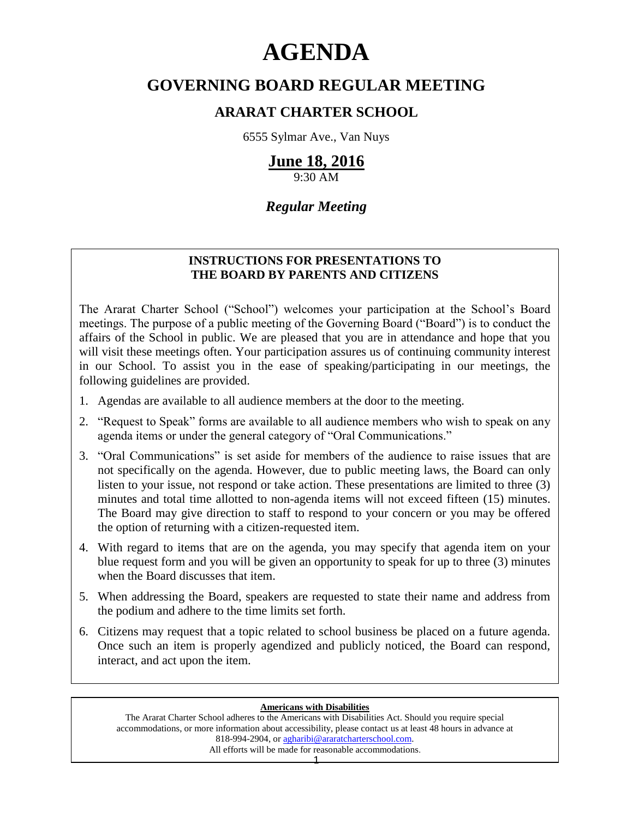# **AGENDA**

# **GOVERNING BOARD REGULAR MEETING**

# **ARARAT CHARTER SCHOOL**

6555 Sylmar Ave., Van Nuys

# **June 18, 2016**

9:30 AM

# *Regular Meeting*

# **INSTRUCTIONS FOR PRESENTATIONS TO THE BOARD BY PARENTS AND CITIZENS**

The Ararat Charter School ("School") welcomes your participation at the School's Board meetings. The purpose of a public meeting of the Governing Board ("Board") is to conduct the affairs of the School in public. We are pleased that you are in attendance and hope that you will visit these meetings often. Your participation assures us of continuing community interest in our School. To assist you in the ease of speaking/participating in our meetings, the following guidelines are provided.

- 1. Agendas are available to all audience members at the door to the meeting.
- 2. "Request to Speak" forms are available to all audience members who wish to speak on any agenda items or under the general category of "Oral Communications."
- 3. "Oral Communications" is set aside for members of the audience to raise issues that are not specifically on the agenda. However, due to public meeting laws, the Board can only listen to your issue, not respond or take action. These presentations are limited to three (3) minutes and total time allotted to non-agenda items will not exceed fifteen (15) minutes. The Board may give direction to staff to respond to your concern or you may be offered the option of returning with a citizen-requested item.
- 4. With regard to items that are on the agenda, you may specify that agenda item on your blue request form and you will be given an opportunity to speak for up to three (3) minutes when the Board discusses that item.
- 5. When addressing the Board, speakers are requested to state their name and address from the podium and adhere to the time limits set forth.
- 6. Citizens may request that a topic related to school business be placed on a future agenda. Once such an item is properly agendized and publicly noticed, the Board can respond, interact, and act upon the item.

#### **Americans with Disabilities**

The Ararat Charter School adheres to the Americans with Disabilities Act. Should you require special accommodations, or more information about accessibility, please contact us at least 48 hours in advance at 818-994-2904, or [agharibi@araratcharterschool.com.](mailto:agharibi@araratcharterschool.com)  All efforts will be made for reasonable accommodations.

1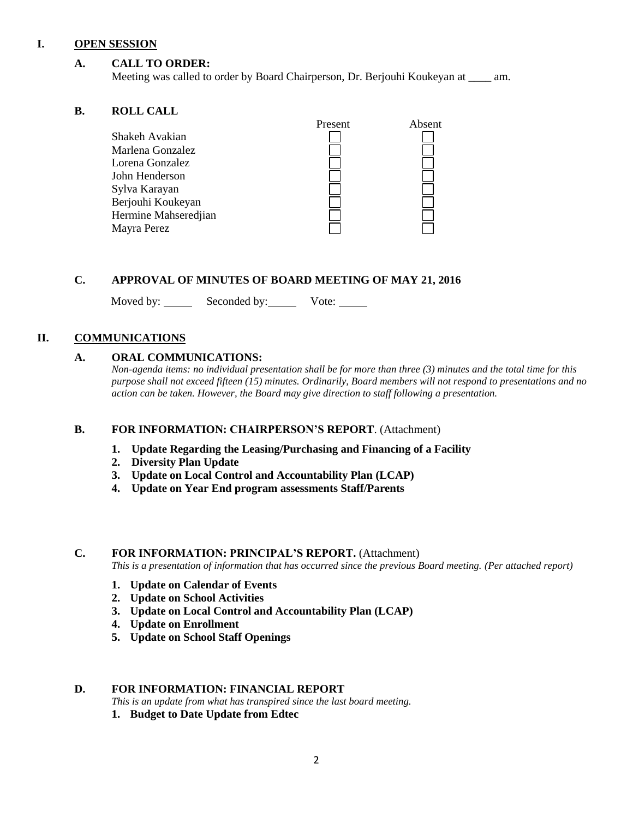#### **I. OPEN SESSION**

## **A. CALL TO ORDER:**

Meeting was called to order by Board Chairperson, Dr. Berjouhi Koukeyan at \_\_\_\_ am.

#### **B. ROLL CALL**

|                      | Present | Absent |
|----------------------|---------|--------|
| Shakeh Avakian       |         |        |
| Marlena Gonzalez     |         |        |
| Lorena Gonzalez      |         |        |
| John Henderson       |         |        |
| Sylva Karayan        |         |        |
| Berjouhi Koukeyan    |         |        |
| Hermine Mahseredjian |         |        |
| Mayra Perez          |         |        |
|                      |         |        |

#### **C. APPROVAL OF MINUTES OF BOARD MEETING OF MAY 21, 2016**

Moved by: Seconded by: Vote:

# **II. COMMUNICATIONS**

#### **A. ORAL COMMUNICATIONS:**

*Non-agenda items: no individual presentation shall be for more than three (3) minutes and the total time for this purpose shall not exceed fifteen (15) minutes. Ordinarily, Board members will not respond to presentations and no action can be taken. However, the Board may give direction to staff following a presentation.*

# **B. FOR INFORMATION: CHAIRPERSON'S REPORT**. (Attachment)

- **1. Update Regarding the Leasing/Purchasing and Financing of a Facility**
- **2. Diversity Plan Update**
- **3. Update on Local Control and Accountability Plan (LCAP)**
- **4. Update on Year End program assessments Staff/Parents**

#### **C. FOR INFORMATION: PRINCIPAL'S REPORT.** (Attachment)

*This is a presentation of information that has occurred since the previous Board meeting. (Per attached report)*

- **1. Update on Calendar of Events**
- **2. Update on School Activities**
- **3. Update on Local Control and Accountability Plan (LCAP)**
- **4. Update on Enrollment**
- **5. Update on School Staff Openings**

#### **D. FOR INFORMATION: FINANCIAL REPORT**

*This is an update from what has transpired since the last board meeting.*

**1. Budget to Date Update from Edtec**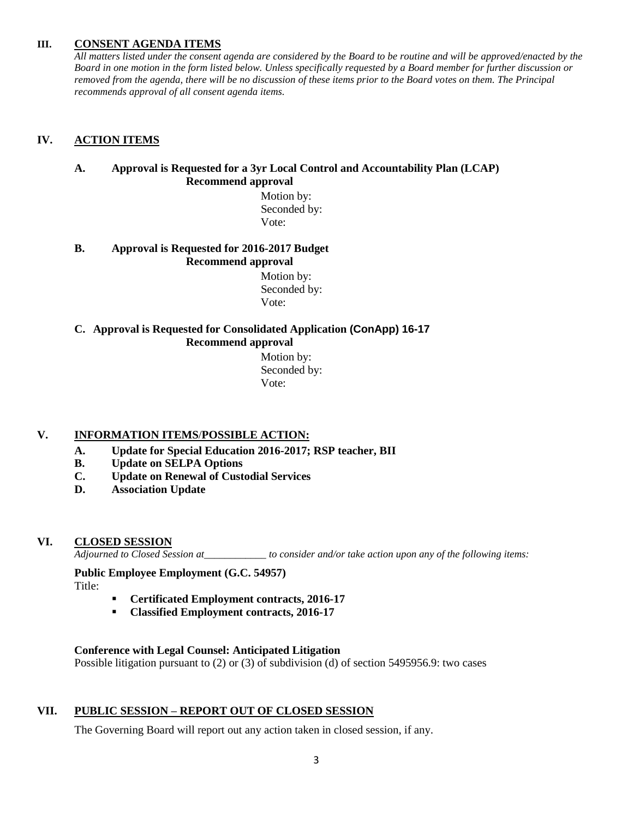# **III. CONSENT AGENDA ITEMS**

*All matters listed under the consent agenda are considered by the Board to be routine and will be approved/enacted by the Board in one motion in the form listed below. Unless specifically requested by a Board member for further discussion or removed from the agenda, there will be no discussion of these items prior to the Board votes on them. The Principal recommends approval of all consent agenda items.*

# **IV. ACTION ITEMS**

# **A. Approval is Requested for a 3yr Local Control and Accountability Plan (LCAP) Recommend approval**

 Motion by: Seconded by: Vote:

# **B. Approval is Requested for 2016-2017 Budget Recommend approval**

 Motion by: Seconded by: Vote:

# **C. Approval is Requested for Consolidated Application (ConApp) 16-17 Recommend approval**

 Motion by: Seconded by: Vote:

# **V. INFORMATION ITEMS**/**POSSIBLE ACTION:**

- **A. Update for Special Education 2016-2017; RSP teacher, BII**
- **B. Update on SELPA Options**
- **C. Update on Renewal of Custodial Services**
- **D. Association Update**

# **VI. CLOSED SESSION**

*Adjourned to Closed Session at\_\_\_\_\_\_\_\_\_\_\_\_ to consider and/or take action upon any of the following items:*

#### **Public Employee Employment (G.C. 54957)** Title:

- **Certificated Employment contracts, 2016-17**
- **Classified Employment contracts, 2016-17**

#### **Conference with Legal Counsel: Anticipated Litigation**

Possible litigation pursuant to (2) or (3) of subdivision (d) of section 5495956.9: two cases

# **VII. PUBLIC SESSION – REPORT OUT OF CLOSED SESSION**

The Governing Board will report out any action taken in closed session, if any.